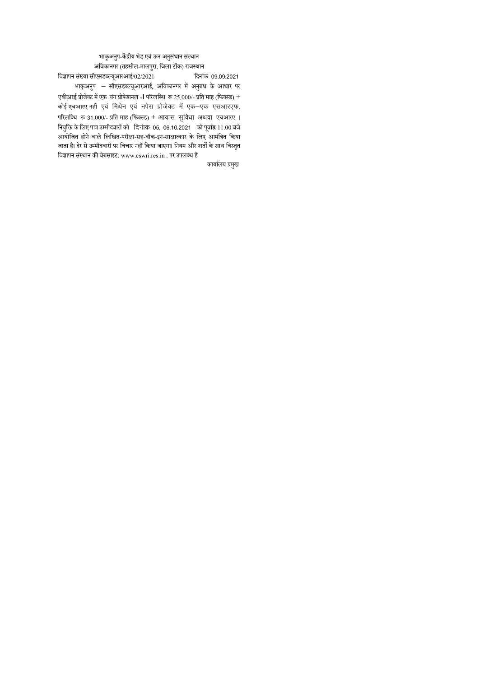# भाकृअनुप-केंद्रीय भेड़ एवं ऊन अनुसंधान संस्थान अविकानगर (तहसील-मालपुरा, जिला टोंक) राजस्थान<br>गीएसडब्ल्यअारआई/02/2021

विज्ञापन संख्या सीएसडब्ल्यूआरआई/02/2021 भाकृअनुप – सीएसडब्ल्यूआरआई, अविकानगर में अनुबंध के आधार पर एबीआई प्रोजेक्ट में एक यंग प्रोफेशनल - $\overline{\rm I}$  परिलब्धि रू 25,000/- प्रति माह (फिक्स्ड) + कोई एचआरए नहीं एवं मिथेन एवं नपेरा प्रोजेक्ट में एक-एक एसआरएफ, परिलब्धि रू 31,000/- प्रति माह (फिक्स्ड) + आवास सुविधा अथवा एचआरए । नियुक्ति के लिए पात्र उम्मीदवारों को दिनांक 05, 06.10.2021 को पूर्वाह्न 11.00 बजे आयोवित होने वाले वलवित-परीक्षा-सह-वॉक-इन-साक्षात्कार के वलए आमवंत्रत वकया ्<br>जाता है। देर से उम्मीदवारी पर विचार नहीं किया जाएगा। नियम और शर्तों के साथ विस्तृत विज्ञापन संस्थान की वेबसाइट: www.cswri.res.in . पर उपलब्ध है

कार्यालय प्रमुख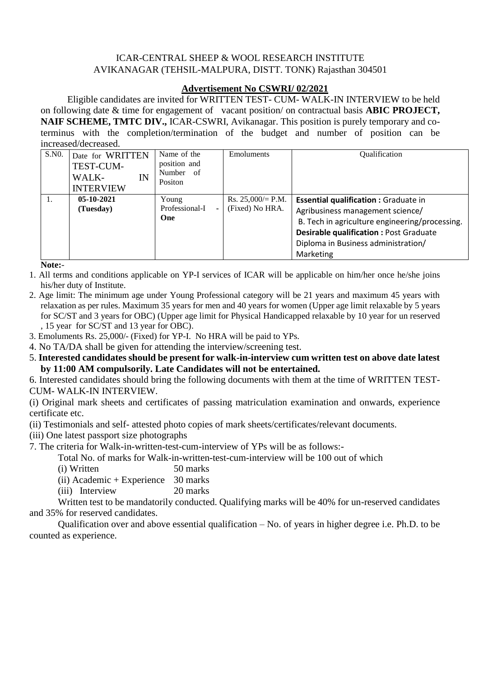# ICAR-CENTRAL SHEEP & WOOL RESEARCH INSTITUTE AVIKANAGAR (TEHSIL-MALPURA, DISTT. TONK) Rajasthan 304501

# **Advertisement No CSWRI/ 02/2021**

 Eligible candidates are invited for WRITTEN TEST- CUM- WALK-IN INTERVIEW to be held on following date & time for engagement of vacant position/ on contractual basis **ABIC PROJECT, NAIF SCHEME, TMTC DIV.,** ICAR-CSWRI, Avikanagar. This position is purely temporary and coterminus with the completion/termination of the budget and number of position can be increased/decreased.

| S.NO. | Date for WRITTEN<br>TEST-CUM-<br>IN<br>WALK-<br><b>INTERVIEW</b> | Name of the<br>position and<br>Number of<br>Positon | Emoluments                             | Qualification                                                                                                                                                                                                                           |
|-------|------------------------------------------------------------------|-----------------------------------------------------|----------------------------------------|-----------------------------------------------------------------------------------------------------------------------------------------------------------------------------------------------------------------------------------------|
|       | $05 - 10 - 2021$<br>(Tuesday)                                    | Young<br>Professional-I<br>$\sim$<br><b>One</b>     | Rs. $25,000/=$ P.M.<br>(Fixed) No HRA. | <b>Essential qualification : Graduate in</b><br>Agribusiness management science/<br>B. Tech in agriculture engineering/processing.<br><b>Desirable qualification: Post Graduate</b><br>Diploma in Business administration/<br>Marketing |

**Note:**-

- 1. All terms and conditions applicable on YP-I services of ICAR will be applicable on him/her once he/she joins his/her duty of Institute.
- 2. Age limit: The minimum age under Young Professional category will be 21 years and maximum 45 years with relaxation as per rules. Maximum 35 years for men and 40 years for women (Upper age limit relaxable by 5 years for SC/ST and 3 years for OBC) (Upper age limit for Physical Handicapped relaxable by 10 year for un reserved , 15 year for SC/ST and 13 year for OBC).
- 3. Emoluments Rs. 25,000/- (Fixed) for YP-I. No HRA will be paid to YPs.
- 4. No TA/DA shall be given for attending the interview/screening test.
- 5. **Interested candidates should be present for walk-in-interview cum written test on above date latest by 11:00 AM compulsorily. Late Candidates will not be entertained.**

6. Interested candidates should bring the following documents with them at the time of WRITTEN TEST-CUM- WALK-IN INTERVIEW.

(i) Original mark sheets and certificates of passing matriculation examination and onwards, experience certificate etc.

(ii) Testimonials and self- attested photo copies of mark sheets/certificates/relevant documents.

(iii) One latest passport size photographs

7. The criteria for Walk-in-written-test-cum-interview of YPs will be as follows:-

Total No. of marks for Walk-in-written-test-cum-interview will be 100 out of which

| (i) Written | 50 marks |
|-------------|----------|
|-------------|----------|

(ii) Academic + Experience 30 marks

(iii) Interview 20 marks

Written test to be mandatorily conducted. Qualifying marks will be 40% for un-reserved candidates and 35% for reserved candidates.

Qualification over and above essential qualification – No. of years in higher degree i.e. Ph.D. to be counted as experience.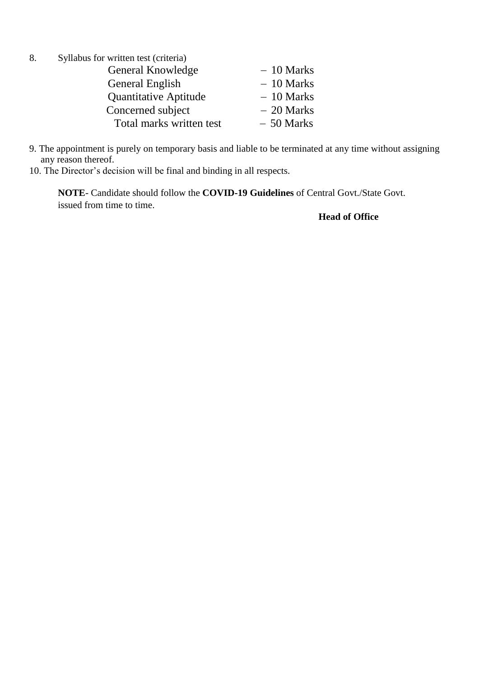- 8. Syllabus for written test (criteria) General Knowledge  $-10$  Marks General English - 10 Marks Quantitative Aptitude  $-10$  Marks  $\text{Concerned subject} \quad -20 \text{ Marks}$ Total marks written test  $-50$  Marks
- 9. The appointment is purely on temporary basis and liable to be terminated at any time without assigning any reason thereof.
- 10. The Director's decision will be final and binding in all respects.

**NOTE**- Candidate should follow the **COVID-19 Guidelines** of Central Govt./State Govt. issued from time to time.

# **Head of Office**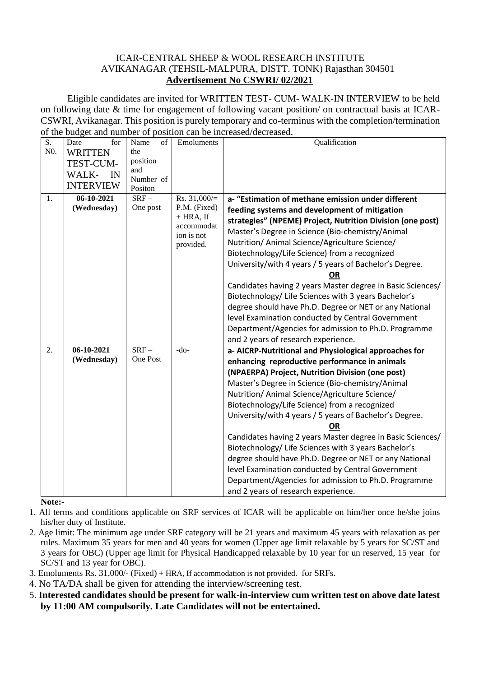## ICAR-CENTRAL SHEEP & WOOL RESEARCH INSTITUTE AVIKANAGAR (TEHSIL-MALPURA, DISTT. TONK) Rajasthan 304501 **Advertisement No CSWRI/ 02/2021**

 Eligible candidates are invited for WRITTEN TEST- CUM- WALK-IN INTERVIEW to be held on following date & time for engagement of following vacant position/ on contractual basis at ICAR-CSWRI, Avikanagar. This position is purely temporary and co-terminus with the completion/termination of the budget and number of position can be increased/decreased.

| $\overline{S}$ . | for<br>Date      | of<br>Name | Emoluments               | Qualification                                              |
|------------------|------------------|------------|--------------------------|------------------------------------------------------------|
| N <sub>0</sub> . | <b>WRITTEN</b>   | the        |                          |                                                            |
|                  |                  | position   |                          |                                                            |
|                  | TEST-CUM-        | and        |                          |                                                            |
|                  | WALK-<br>IN      | Number of  |                          |                                                            |
|                  | <b>INTERVIEW</b> | Positon    |                          |                                                            |
| 1.               | $06-10-2021$     | $SRF-$     | Rs. $31,000/$ =          | a- "Estimation of methane emission under different         |
|                  | (Wednesday)      | One post   | P.M. (Fixed)             | feeding systems and development of mitigation              |
|                  |                  |            | $+ HRA$ , If             | strategies" (NPEME) Project, Nutrition Division (one post) |
|                  |                  |            | accommodat<br>ion is not | Master's Degree in Science (Bio-chemistry/Animal           |
|                  |                  |            | provided.                | Nutrition/ Animal Science/Agriculture Science/             |
|                  |                  |            |                          | Biotechnology/Life Science) from a recognized              |
|                  |                  |            |                          | University/with 4 years / 5 years of Bachelor's Degree.    |
|                  |                  |            |                          | OR                                                         |
|                  |                  |            |                          | Candidates having 2 years Master degree in Basic Sciences/ |
|                  |                  |            |                          | Biotechnology/ Life Sciences with 3 years Bachelor's       |
|                  |                  |            |                          | degree should have Ph.D. Degree or NET or any National     |
|                  |                  |            |                          | level Examination conducted by Central Government          |
|                  |                  |            |                          | Department/Agencies for admission to Ph.D. Programme       |
|                  |                  |            |                          | and 2 years of research experience.                        |
| 2.               | 06-10-2021       | $SRF-$     | $-do-$                   | a- AICRP-Nutritional and Physiological approaches for      |
|                  | (Wednesday)      | One Post   |                          | enhancing reproductive performance in animals              |
|                  |                  |            |                          | (NPAERPA) Project, Nutrition Division (one post)           |
|                  |                  |            |                          | Master's Degree in Science (Bio-chemistry/Animal           |
|                  |                  |            |                          | Nutrition/ Animal Science/Agriculture Science/             |
|                  |                  |            |                          | Biotechnology/Life Science) from a recognized              |
|                  |                  |            |                          | University/with 4 years / 5 years of Bachelor's Degree.    |
|                  |                  |            |                          | OR                                                         |
|                  |                  |            |                          |                                                            |
|                  |                  |            |                          | Candidates having 2 years Master degree in Basic Sciences/ |
|                  |                  |            |                          | Biotechnology/ Life Sciences with 3 years Bachelor's       |
|                  |                  |            |                          | degree should have Ph.D. Degree or NET or any National     |
|                  |                  |            |                          | level Examination conducted by Central Government          |
|                  |                  |            |                          | Department/Agencies for admission to Ph.D. Programme       |
|                  |                  |            |                          | and 2 years of research experience.                        |

**Note:**-

1. All terms and conditions applicable on SRF services of ICAR will be applicable on him/her once he/she joins his/her duty of Institute.

- 2. Age limit: The minimum age under SRF category will be 21 years and maximum 45 years with relaxation as per rules. Maximum 35 years for men and 40 years for women (Upper age limit relaxable by 5 years for SC/ST and 3 years for OBC) (Upper age limit for Physical Handicapped relaxable by 10 year for un reserved, 15 year for SC/ST and 13 year for OBC).
- 3. Emoluments Rs. 31,000/- (Fixed) + HRA, If accommodation is not provided. for SRFs.
- 4. No TA/DA shall be given for attending the interview/screening test.
- 5. **Interested candidates should be present for walk-in-interview cum written test on above date latest by 11:00 AM compulsorily. Late Candidates will not be entertained.**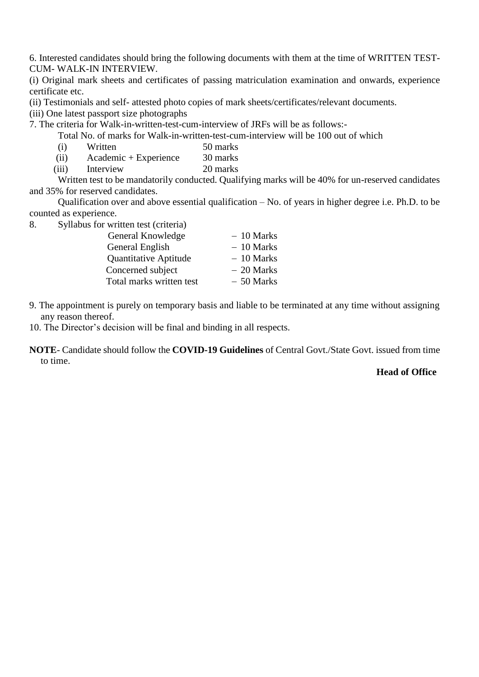6. Interested candidates should bring the following documents with them at the time of WRITTEN TEST-CUM- WALK-IN INTERVIEW.

(i) Original mark sheets and certificates of passing matriculation examination and onwards, experience certificate etc.

(ii) Testimonials and self- attested photo copies of mark sheets/certificates/relevant documents.

(iii) One latest passport size photographs

7. The criteria for Walk-in-written-test-cum-interview of JRFs will be as follows:-

Total No. of marks for Walk-in-written-test-cum-interview will be 100 out of which

- (i) Written 50 marks
- (ii) Academic + Experience 30 marks
- (iii) Interview 20 marks

Written test to be mandatorily conducted. Qualifying marks will be 40% for un-reserved candidates and 35% for reserved candidates.

Qualification over and above essential qualification – No. of years in higher degree i.e. Ph.D. to be counted as experience.

8. Syllabus for written test (criteria)

| General Knowledge        | $-10$ Marks |
|--------------------------|-------------|
| General English          | $-10$ Marks |
| Quantitative Aptitude    | $-10$ Marks |
| Concerned subject        | $-20$ Marks |
| Total marks written test | $-50$ Marks |

- 9. The appointment is purely on temporary basis and liable to be terminated at any time without assigning any reason thereof.
- 10. The Director's decision will be final and binding in all respects.
- **NOTE** Candidate should follow the **COVID-19 Guidelines** of Central Govt./State Govt. issued from time to time.

## **Head of Office**